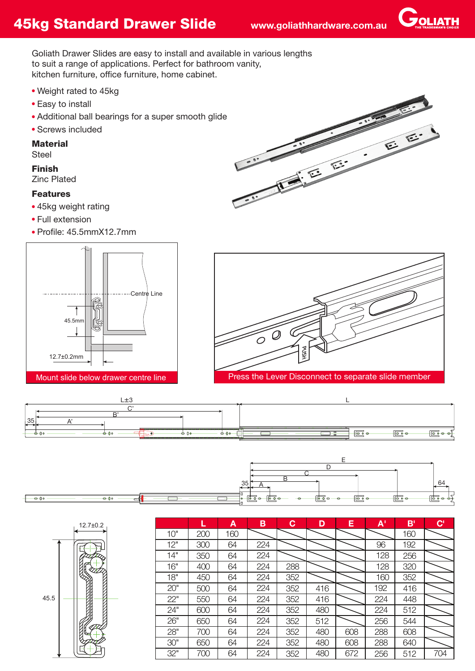**JOLIATH** 

Goliath Drawer Slides are easy to install and available in various lengths to suit a range of applications. Perfect for bathroom vanity, kitchen furniture, office furniture, home cabinet.

- Weight rated to 45kg
- Easy to install
- Additional ball bearings for a super smooth glide
- Screws included

## **Material**

**Steel** 

## Finish

Zinc Plated

## Features

- 45kg weight rating
- Full extension
- $\bullet$  Profile: 45.5mm $X12.7$ mm











|      | $12.7 \pm 0.2$ |  |
|------|----------------|--|
| 45.5 |                |  |

|     | L   | Α   | B   | C   | D   | Е   | A'  | B'  | $\mathbf{C}^{\prime}$ |
|-----|-----|-----|-----|-----|-----|-----|-----|-----|-----------------------|
| 10" | 200 | 160 |     |     |     |     |     | 160 |                       |
| 12" | 300 | 64  | 224 |     |     |     | 96  | 192 |                       |
| 14" | 350 | 64  | 224 |     |     |     | 128 | 256 |                       |
| 16" | 400 | 64  | 224 | 288 |     |     | 128 | 320 |                       |
| 18" | 450 | 64  | 224 | 352 |     |     | 160 | 352 |                       |
| 20" | 500 | 64  | 224 | 352 | 416 |     | 192 | 416 |                       |
| 22" | 550 | 64  | 224 | 352 | 416 |     | 224 | 448 |                       |
| 24" | 600 | 64  | 224 | 352 | 480 |     | 224 | 512 |                       |
| 26" | 650 | 64  | 224 | 352 | 512 |     | 256 | 544 |                       |
| 28" | 700 | 64  | 224 | 352 | 480 | 608 | 288 | 608 |                       |
| 30" | 650 | 64  | 224 | 352 | 480 | 608 | 288 | 640 |                       |
| 32" | 700 | 64  | 224 | 352 | 480 | 672 | 256 | 512 | 704                   |